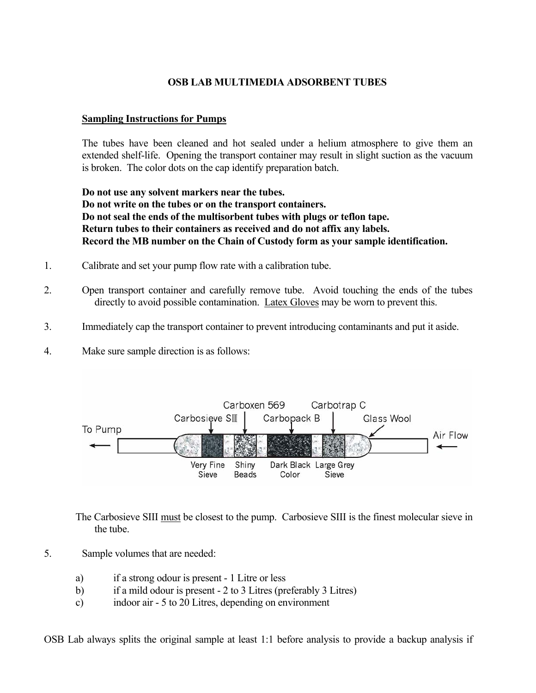## **OSB LAB MULTIMEDIA ADSORBENT TUBES**

## **Sampling Instructions for Pumps**

The tubes have been cleaned and hot sealed under a helium atmosphere to give them an extended shelf-life. Opening the transport container may result in slight suction as the vacuum is broken. The color dots on the cap identify preparation batch.

**Do not use any solvent markers near the tubes. Do not write on the tubes or on the transport containers. Do not seal the ends of the multisorbent tubes with plugs or teflon tape. Return tubes to their containers as received and do not affix any labels. Record the MB number on the Chain of Custody form as your sample identification.**

- 1. Calibrate and set your pump flow rate with a calibration tube.
- 2. Open transport container and carefully remove tube. Avoid touching the ends of the tubes directly to avoid possible contamination. Latex Gloves may be worn to prevent this.
- 3. Immediately cap the transport container to prevent introducing contaminants and put it aside.
- 4. Make sure sample direction is as follows:



The Carbosieve SIII must be closest to the pump. Carbosieve SIII is the finest molecular sieve in the tube.

- 5. Sample volumes that are needed:
	- a) if a strong odour is present 1 Litre or less
	- b) if a mild odour is present 2 to 3 Litres (preferably 3 Litres)
	- c) indoor air 5 to 20 Litres, depending on environment

OSB Lab always splits the original sample at least 1:1 before analysis to provide a backup analysis if